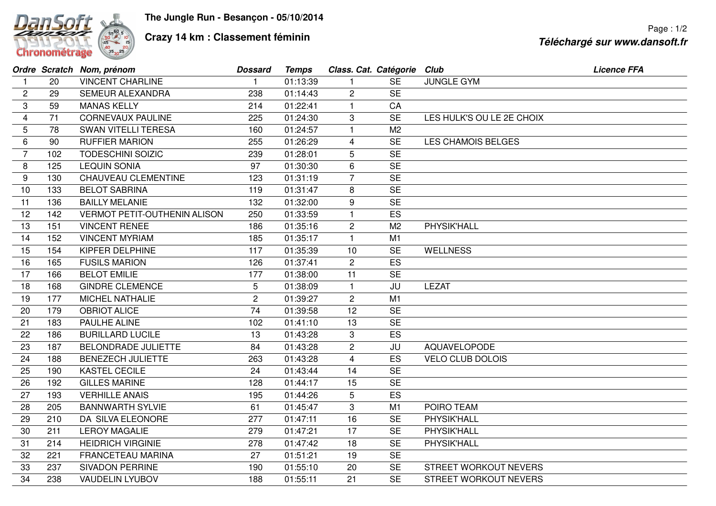

## **Crazy 14 km : Classement féminin**

|                |     | Ordre Scratch Nom, prénom           | <b>Dossard</b> | <b>Temps</b> | Class. Cat. Catégorie Club |                |                              | <b>Licence FFA</b> |
|----------------|-----|-------------------------------------|----------------|--------------|----------------------------|----------------|------------------------------|--------------------|
| $\mathbf 1$    | 20  | <b>VINCENT CHARLINE</b>             |                | 01:13:39     |                            | <b>SE</b>      | <b>JUNGLE GYM</b>            |                    |
| $\overline{c}$ | 29  | <b>SEMEUR ALEXANDRA</b>             | 238            | 01:14:43     | $\overline{2}$             | <b>SE</b>      |                              |                    |
| 3              | 59  | <b>MANAS KELLY</b>                  | 214            | 01:22:41     | 1                          | CA             |                              |                    |
| 4              | 71  | <b>CORNEVAUX PAULINE</b>            | 225            | 01:24:30     | 3                          | <b>SE</b>      | LES HULK'S OU LE 2E CHOIX    |                    |
| 5              | 78  | <b>SWAN VITELLI TERESA</b>          | 160            | 01:24:57     | $\mathbf{1}$               | M <sub>2</sub> |                              |                    |
| 6              | 90  | <b>RUFFIER MARION</b>               | 255            | 01:26:29     | 4                          | <b>SE</b>      | <b>LES CHAMOIS BELGES</b>    |                    |
| 7              | 102 | <b>TODESCHINI SOIZIC</b>            | 239            | 01:28:01     | 5                          | <b>SE</b>      |                              |                    |
| 8              | 125 | <b>LEQUIN SONIA</b>                 | 97             | 01:30:30     | 6                          | <b>SE</b>      |                              |                    |
| 9              | 130 | CHAUVEAU CLEMENTINE                 | 123            | 01:31:19     | $\overline{7}$             | <b>SE</b>      |                              |                    |
| 10             | 133 | <b>BELOT SABRINA</b>                | 119            | 01:31:47     | 8                          | <b>SE</b>      |                              |                    |
| 11             | 136 | <b>BAILLY MELANIE</b>               | 132            | 01:32:00     | 9                          | <b>SE</b>      |                              |                    |
| 12             | 142 | <b>VERMOT PETIT-OUTHENIN ALISON</b> | 250            | 01:33:59     | 1                          | ES             |                              |                    |
| 13             | 151 | <b>VINCENT RENEE</b>                | 186            | 01:35:16     | $\overline{c}$             | M <sub>2</sub> | PHYSIK'HALL                  |                    |
| 14             | 152 | <b>VINCENT MYRIAM</b>               | 185            | 01:35:17     | $\overline{1}$             | M <sub>1</sub> |                              |                    |
| 15             | 154 | KIPFER DELPHINE                     | 117            | 01:35:39     | 10                         | <b>SE</b>      | <b>WELLNESS</b>              |                    |
| 16             | 165 | <b>FUSILS MARION</b>                | 126            | 01:37:41     | $\overline{c}$             | ES             |                              |                    |
| 17             | 166 | <b>BELOT EMILIE</b>                 | 177            | 01:38:00     | 11                         | <b>SE</b>      |                              |                    |
| 18             | 168 | <b>GINDRE CLEMENCE</b>              | 5              | 01:38:09     | $\mathbf{1}$               | JU             | <b>LEZAT</b>                 |                    |
| 19             | 177 | MICHEL NATHALIE                     | $\overline{c}$ | 01:39:27     | $\overline{2}$             | M1             |                              |                    |
| 20             | 179 | <b>OBRIOT ALICE</b>                 | 74             | 01:39:58     | 12                         | <b>SE</b>      |                              |                    |
| 21             | 183 | PAULHE ALINE                        | 102            | 01:41:10     | 13                         | <b>SE</b>      |                              |                    |
| 22             | 186 | <b>BURILLARD LUCILE</b>             | 13             | 01:43:28     | 3                          | ES             |                              |                    |
| 23             | 187 | <b>BELONDRADE JULIETTE</b>          | 84             | 01:43:28     | $\overline{c}$             | JU             | AQUAVELOPODE                 |                    |
| 24             | 188 | <b>BENEZECH JULIETTE</b>            | 263            | 01:43:28     | 4                          | ES             | <b>VELO CLUB DOLOIS</b>      |                    |
| 25             | 190 | <b>KASTEL CECILE</b>                | 24             | 01:43:44     | 14                         | <b>SE</b>      |                              |                    |
| 26             | 192 | <b>GILLES MARINE</b>                | 128            | 01:44:17     | 15                         | <b>SE</b>      |                              |                    |
| 27             | 193 | <b>VERHILLE ANAIS</b>               | 195            | 01:44:26     | 5                          | ES             |                              |                    |
| 28             | 205 | <b>BANNWARTH SYLVIE</b>             | 61             | 01:45:47     | 3                          | M <sub>1</sub> | POIRO TEAM                   |                    |
| 29             | 210 | DA SILVA ELEONORE                   | 277            | 01:47:11     | 16                         | <b>SE</b>      | PHYSIK'HALL                  |                    |
| 30             | 211 | <b>LEROY MAGALIE</b>                | 279            | 01:47:21     | 17                         | <b>SE</b>      | PHYSIK'HALL                  |                    |
| 31             | 214 | <b>HEIDRICH VIRGINIE</b>            | 278            | 01:47:42     | 18                         | <b>SE</b>      | PHYSIK'HALL                  |                    |
| 32             | 221 | FRANCETEAU MARINA                   | 27             | 01:51:21     | 19                         | <b>SE</b>      |                              |                    |
| 33             | 237 | <b>SIVADON PERRINE</b>              | 190            | 01:55:10     | 20                         | <b>SE</b>      | STREET WORKOUT NEVERS        |                    |
| 34             | 238 | <b>VAUDELIN LYUBOV</b>              | 188            | 01:55:11     | 21                         | <b>SE</b>      | <b>STREET WORKOUT NEVERS</b> |                    |
|                |     |                                     |                |              |                            |                |                              |                    |